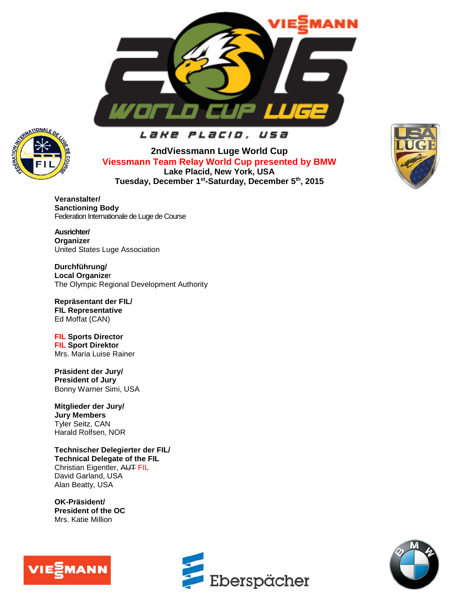



# Lake Placio, usa

**2ndViessmann Luge World Cup Viessmann Team Relay World Cup presented by BMW Lake Placid, New York, USA Tuesday, December 1st-Saturday, December 5th, 2015** 



**Veranstalter/ Sanctioning Body** Federation Internationale de Luge de Course

**Ausrichter/ Organizer** United States Luge Association

**Durchführung/ Local Organize**r The Olympic Regional Development Authority

**Repräsentant der FIL/ FIL Representative** Ed Moffat (CAN)

**FIL Sports Director FIL Sport Direktor** Mrs. Maria Luise Rainer

**Präsident der Jury/ President of Jury** Bonny Warner Simi, USA

**Mitglieder der Jury/ Jury Members** Tyler Seitz, CAN Harald Rolfsen, NOR

**Technischer Delegierter der FIL/ Technical Delegate of the FIL** Christian Eigentler, AUT FIL David Garland, USA Alan Beatty, USA

**OK-Präsident/ President of the OC** Mrs. Katie Million





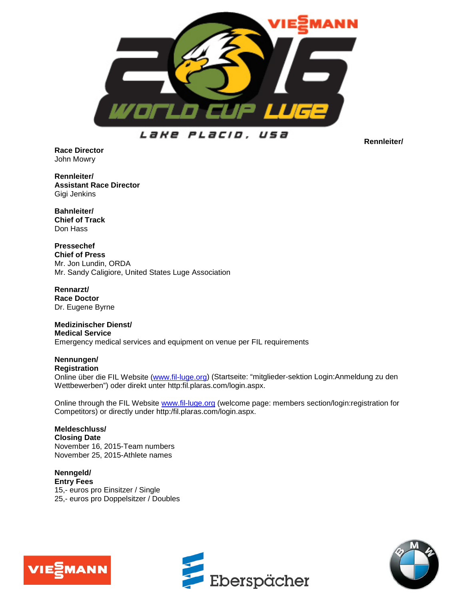

Lake Placid. usa

**Rennleiter/**

**Race Director** John Mowry

**Rennleiter/ Assistant Race Director** Gigi Jenkins

**Bahnleiter/ Chief of Track** Don Hass

**Pressechef Chief of Press** Mr. Jon Lundin, ORDA Mr. Sandy Caligiore, United States Luge Association

**Rennarzt/ Race Doctor** Dr. Eugene Byrne

**Medizinischer Dienst/ Medical Service** Emergency medical services and equipment on venue per FIL requirements

# **Nennungen/**

**Registration**

Online über die FIL Website [\(www.fil-luge.org\)](http://www.fil-luge.org/) (Startseite: "mitglieder-sektion Login:Anmeldung zu den Wettbewerben") oder direkt unter http:fil.plaras.com/login.aspx.

Online through the FIL Website [www.fil-luge.org](http://www.fil-luge.org/) (welcome page: members section/login:registration for Competitors) or directly under http:/fil.plaras.com/login.aspx.

### **Meldeschluss/ Closing Date** November 16, 2015-Team numbers November 25, 2015-Athlete names

**Nenngeld/ Entry Fees** 15,- euros pro Einsitzer / Single 25,- euros pro Doppelsitzer / Doubles





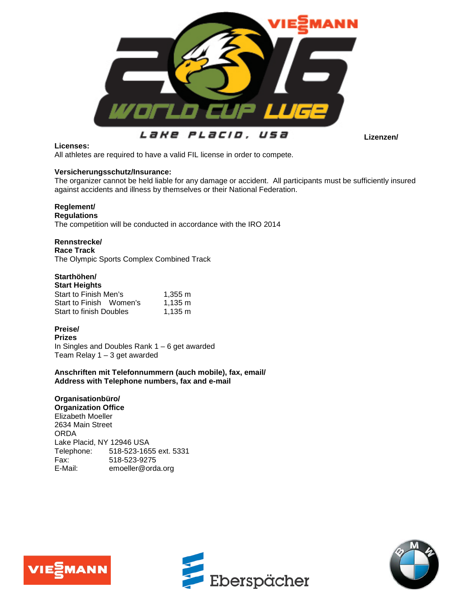

PLacio. Lake usa

**Lizenzen/**

### **Licenses:**

All athletes are required to have a valid FIL license in order to compete.

### **Versicherungsschutz/Insurance:**

The organizer cannot be held liable for any damage or accident. All participants must be sufficiently insured against accidents and illness by themselves or their National Federation.

## **Reglement/**

**Regulations**

The competition will be conducted in accordance with the IRO 2014

### **Rennstrecke/**

**Race Track** The Olympic Sports Complex Combined Track

# **Starthöhen/**

| <b>Start Heights</b>           |                   |
|--------------------------------|-------------------|
| Start to Finish Men's          | 1.355 m           |
| Start to Finish Women's        | $1.135 \text{ m}$ |
| <b>Start to finish Doubles</b> | $1.135 \text{ m}$ |

## **Preise/**

**Prizes** In Singles and Doubles Rank  $1 - 6$  get awarded Team Relay 1 – 3 get awarded

**Anschriften mit Telefonnummern (auch mobile), fax, email/ Address with Telephone numbers, fax and e-mail**

## **Organisationbüro/**

**Organization Office** Elizabeth Moeller 2634 Main Street ORDA Lake Placid, NY 12946 USA<br>Telephone: 518-523-165 518-523-1655 ext. 5331 Fax: 518-523-9275<br>E-Mail: emoeller@ord: emoeller@orda.org





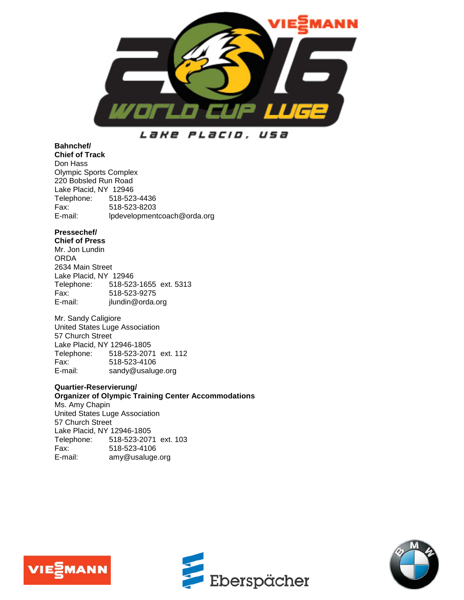

Lake Placid, usa

## **Bahnchef/**

**Chief of Track** Don Hass Olympic Sports Complex 220 Bobsled Run Road Lake Placid, NY 12946 Telephone: 518-523-4436 Fax: 518-523-8203 Ipdevelopmentcoach@orda.org

## **Pressechef/**

**Chief of Press** Mr. Jon Lundin ORDA 2634 Main Street Lake Placid, NY 12946<br>Telephone: 518-523 Telephone: 518-523-1655 ext. 5313<br>Fax: 518-523-9275 Fax: 518-523-9275 jlundin@orda.org

Mr. Sandy Caligiore United States Luge Association 57 Church Street Lake Placid, NY 12946-1805 Telephone: 518-523-2071 ext. 112 Fax: 518-523-4106<br>E-mail: sandv@usaluc sandy@usaluge.org

## **Quartier-Reservierung/**

**Organizer of Olympic Training Center Accommodations** Ms. Amy Chapin United States Luge Association 57 Church Street Lake Placid, NY 12946-1805 Telephone: 518-523-2071 ext. 103 Fax: 518-523-4106 E-mail: [amy@usaluge.org](mailto:amy@usaluge.org)





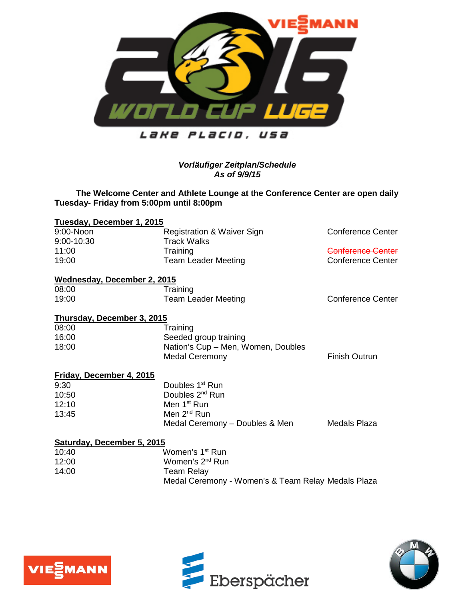

Lake PLacid, USa

## *Vorläufiger Zeitplan/Schedule As of 9/9/15*

## **The Welcome Center and Athlete Lounge at the Conference Center are open daily Tuesday- Friday from 5:00pm until 8:00pm**

| Tuesday, December 1, 2015   |                                                    |                          |
|-----------------------------|----------------------------------------------------|--------------------------|
| 9:00-Noon                   | <b>Registration &amp; Waiver Sign</b>              | <b>Conference Center</b> |
| 9:00-10:30                  | <b>Track Walks</b>                                 |                          |
| 11:00                       | Training                                           | Conference Center        |
| 19:00                       | <b>Team Leader Meeting</b>                         | Conference Center        |
| Wednesday, December 2, 2015 |                                                    |                          |
| 08:00                       | Training                                           |                          |
| 19:00                       | <b>Team Leader Meeting</b>                         | <b>Conference Center</b> |
| Thursday, December 3, 2015  |                                                    |                          |
| 08:00                       | Training                                           |                          |
| 16:00                       | Seeded group training                              |                          |
| 18:00                       | Nation's Cup - Men, Women, Doubles                 |                          |
|                             | <b>Medal Ceremony</b>                              | <b>Finish Outrun</b>     |
| Friday, December 4, 2015    |                                                    |                          |
| 9:30                        | Doubles 1 <sup>st</sup> Run                        |                          |
| 10:50                       | Doubles 2 <sup>nd</sup> Run                        |                          |
| 12:10                       | Men 1 <sup>st</sup> Run                            |                          |
| 13:45                       | Men 2 <sup>nd</sup> Run                            |                          |
|                             | Medal Ceremony – Doubles & Men                     | Medals Plaza             |
| Saturday, December 5, 2015  |                                                    |                          |
| 10:40                       | Women's 1 <sup>st</sup> Run                        |                          |
| 12:00                       | Women's 2 <sup>nd</sup> Run                        |                          |
| 14:00                       | Team Relay                                         |                          |
|                             | Medal Ceremony - Women's & Team Relay Medals Plaza |                          |





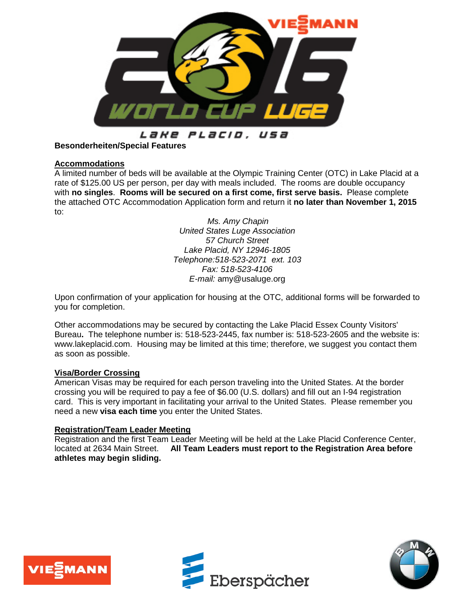

#### Lake Placid. usa

## **Besonderheiten/Special Features**

## **Accommodations**

A limited number of beds will be available at the Olympic Training Center (OTC) in Lake Placid at a rate of \$125.00 US per person, per day with meals included. The rooms are double occupancy with **no singles**. **Rooms will be secured on a first come, first serve basis.** Please complete the attached OTC Accommodation Application form and return it **no later than November 1, 2015** to:

> *Ms. Amy Chapin United States Luge Association 57 Church Street Lake Placid, NY 12946-1805 Telephone:518-523-2071 ext. 103 Fax: 518-523-4106 E-mail:* [amy@usaluge.org](mailto:amy@usaluge.org)

Upon confirmation of your application for housing at the OTC, additional forms will be forwarded to you for completion.

Other accommodations may be secured by contacting the Lake Placid Essex County Visitors' Bureau**.** The telephone number is: 518-523-2445, fax number is: 518-523-2605 and the website is: www.lakeplacid.com. Housing may be limited at this time; therefore, we suggest you contact them as soon as possible.

## **Visa/Border Crossing**

American Visas may be required for each person traveling into the United States. At the border crossing you will be required to pay a fee of \$6.00 (U.S. dollars) and fill out an I-94 registration card. This is very important in facilitating your arrival to the United States. Please remember you need a new **visa each time** you enter the United States.

## **Registration/Team Leader Meeting**

Registration and the first Team Leader Meeting will be held at the Lake Placid Conference Center, located at 2634 Main Street. **All Team Leaders must report to the Registration Area before athletes may begin sliding.**





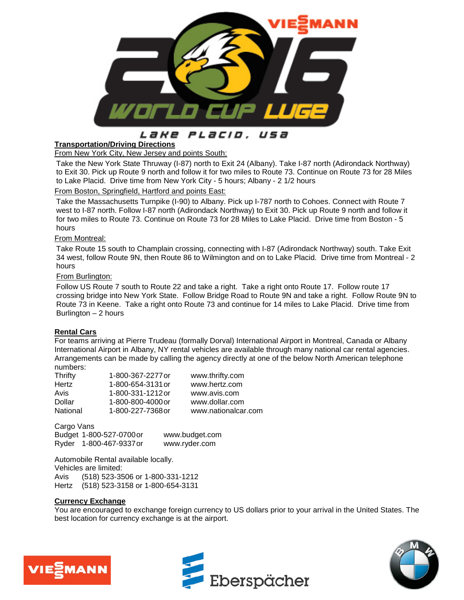

#### Lake PLacio. usa

### **Transportation/Driving Directions**

From New York City, New Jersey and points South:

Take the New York State Thruway (I-87) north to Exit 24 (Albany). Take I-87 north (Adirondack Northway) to Exit 30. Pick up Route 9 north and follow it for two miles to Route 73. Continue on Route 73 for 28 Miles to Lake Placid. Drive time from New York City - 5 hours; Albany - 2 1/2 hours

### From Boston, Springfield, Hartford and points East:

Take the Massachusetts Turnpike (I-90) to Albany. Pick up I-787 north to Cohoes. Connect with Route 7 west to I-87 north. Follow I-87 north (Adirondack Northway) to Exit 30. Pick up Route 9 north and follow it for two miles to Route 73. Continue on Route 73 for 28 Miles to Lake Placid. Drive time from Boston - 5 hours

### From Montreal:

Take Route 15 south to Champlain crossing, connecting with I-87 (Adirondack Northway) south. Take Exit 34 west, follow Route 9N, then Route 86 to Wilmington and on to Lake Placid. Drive time from Montreal - 2 hours

### From Burlington:

Follow US Route 7 south to Route 22 and take a right. Take a right onto Route 17. Follow route 17 crossing bridge into New York State. Follow Bridge Road to Route 9N and take a right. Follow Route 9N to Route 73 in Keene. Take a right onto Route 73 and continue for 14 miles to Lake Placid. Drive time from Burlington  $-2$  hours

### **Rental Cars**

For teams arriving at Pierre Trudeau (formally Dorval) International Airport in Montreal, Canada or Albany International Airport in Albany, NY rental vehicles are available through many national car rental agencies. Arrangements can be made by calling the agency directly at one of the below North American telephone numbers:

| 1-800-367-2277 or | www.thrifty.com     |
|-------------------|---------------------|
| 1-800-654-3131 or | www.hertz.com       |
| 1-800-331-1212 or | www.avis.com        |
| 1-800-800-4000 or | www.dollar.com      |
| 1-800-227-7368 or | www.nationalcar.com |
|                   |                     |

Cargo Vans Budget 1-800-527-0700or www.budget.com Ryder 1-800-467-9337or www.ryder.com

Automobile Rental available locally. Vehicles are limited: Avis (518) 523-3506 or 1-800-331-1212 Hertz (518) 523-3158 or 1-800-654-3131

### **Currency Exchange**

You are encouraged to exchange foreign currency to US dollars prior to your arrival in the United States. The best location for currency exchange is at the airport.





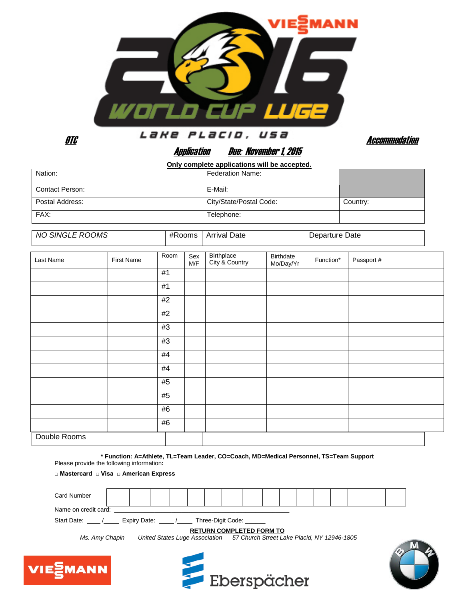

otche distribution of the second of the second of the second and the second of the second of the second of the second second and second and second and second and second and second and second and second and second and secon

# Application Due: November 1, 2015

 **Only complete applications will be accepted.**

| Nation:         | <b>Federation Name:</b> |          |
|-----------------|-------------------------|----------|
| Contact Person: | E-Mail:                 |          |
| Postal Address: | City/State/Postal Code: | Country: |
| FAX:            | Telephone:              |          |

| NO SINGLE ROOMS | #Rooms<br>___ | <b>Arrival Date</b> | Departure Date |
|-----------------|---------------|---------------------|----------------|
|                 |               |                     |                |

| Last Name    | <b>First Name</b> | Room | Sex<br>M/F | Birthplace<br>City & Country | Birthdate<br>Mo/Day/Yr | Function* | Passport # |
|--------------|-------------------|------|------------|------------------------------|------------------------|-----------|------------|
|              |                   | #1   |            |                              |                        |           |            |
|              |                   | #1   |            |                              |                        |           |            |
|              |                   | #2   |            |                              |                        |           |            |
|              |                   | #2   |            |                              |                        |           |            |
|              |                   | #3   |            |                              |                        |           |            |
|              |                   | #3   |            |                              |                        |           |            |
|              |                   | #4   |            |                              |                        |           |            |
|              |                   | #4   |            |                              |                        |           |            |
|              |                   | #5   |            |                              |                        |           |            |
|              |                   | #5   |            |                              |                        |           |            |
|              |                   | #6   |            |                              |                        |           |            |
|              |                   | #6   |            |                              |                        |           |            |
| Double Rooms |                   |      |            |                              |                        |           |            |

**\* Function: A=Athlete, TL=Team Leader, CO=Coach, MD=Medical Personnel, TS=Team Support** Please provide the following information**:** 

**□ Mastercard □ Visa □ American Express** 

| <b>Card Number</b>                                                                           |  |  |  |  |  |  |  |  |  |  |  |  |  |  |  |  |
|----------------------------------------------------------------------------------------------|--|--|--|--|--|--|--|--|--|--|--|--|--|--|--|--|
| Name on credit card:                                                                         |  |  |  |  |  |  |  |  |  |  |  |  |  |  |  |  |
| Start Date: /<br>Three-Digit Code:<br>Expiry Date: /                                         |  |  |  |  |  |  |  |  |  |  |  |  |  |  |  |  |
| <b>RETURN COMPLETED FORM TO</b>                                                              |  |  |  |  |  |  |  |  |  |  |  |  |  |  |  |  |
| United States Luge Association 57 Church Street Lake Placid, NY 12946-1805<br>Ms. Amy Chapin |  |  |  |  |  |  |  |  |  |  |  |  |  |  |  |  |